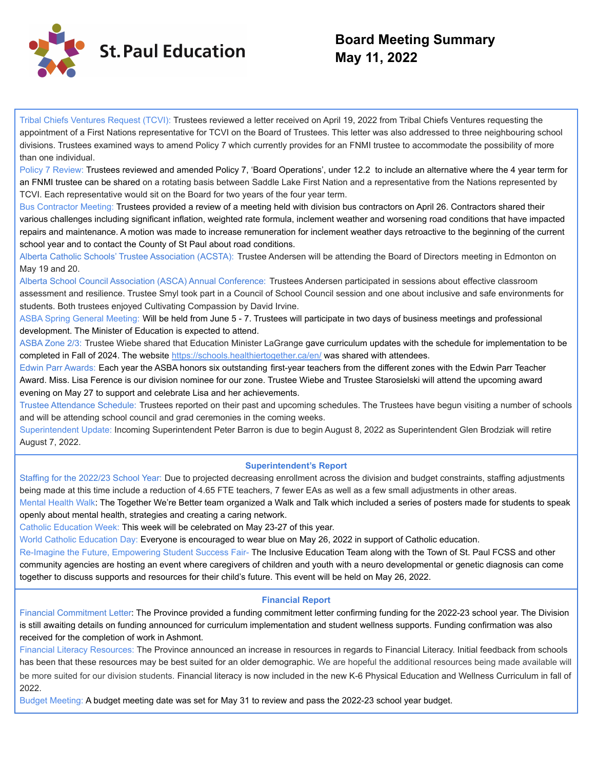

## **Board Meeting Summary May 11, 2022**

Tribal Chiefs Ventures Request (TCVI): Trustees reviewed a letter received on April 19, 2022 from Tribal Chiefs Ventures requesting the appointment of a First Nations representative for TCVI on the Board of Trustees. This letter was also addressed to three neighbouring school divisions. Trustees examined ways to amend Policy 7 which currently provides for an FNMI trustee to accommodate the possibility of more than one individual.

Policy 7 Review: Trustees reviewed and amended Policy 7, 'Board Operations', under 12.2 to include an alternative where the 4 year term for an FNMI trustee can be shared on a rotating basis between Saddle Lake First Nation and a representative from the Nations represented by TCVI. Each representative would sit on the Board for two years of the four year term.

Bus Contractor Meeting: Trustees provided a review of a meeting held with division bus contractors on April 26. Contractors shared their various challenges including significant inflation, weighted rate formula, inclement weather and worsening road conditions that have impacted repairs and maintenance. A motion was made to increase remuneration for inclement weather days retroactive to the beginning of the current school year and to contact the County of St Paul about road conditions.

Alberta Catholic Schools' Trustee Association (ACSTA): Trustee Andersen will be attending the Board of Directors meeting in Edmonton on May 19 and 20.

Alberta School Council Association (ASCA) Annual Conference: Trustees Andersen participated in sessions about effective classroom assessment and resilience. Trustee Smyl took part in a Council of School Council session and one about inclusive and safe environments for students. Both trustees enjoyed Cultivating Compassion by David Irvine.

ASBA Spring General Meeting: Will be held from June 5 - 7. Trustees will participate in two days of business meetings and professional development. The Minister of Education is expected to attend.

ASBA Zone 2/3: Trustee Wiebe shared that Education Minister LaGrange gave curriculum updates with the schedule for implementation to be completed in Fall of 2024. The website https://schools.healthiertogether.ca/en/ was shared with attendees.

Edwin Parr Awards: Each year the ASBA honors six outstanding first-year teachers from the different zones with the Edwin Parr Teacher Award. Miss. Lisa Ference is our division nominee for our zone. Trustee Wiebe and Trustee Starosielski will attend the upcoming award evening on May 27 to support and celebrate Lisa and her achievements.

Trustee Attendance Schedule: Trustees reported on their past and upcoming schedules. The Trustees have begun visiting a number of schools and will be attending school council and grad ceremonies in the coming weeks.

Superintendent Update: Incoming Superintendent Peter Barron is due to begin August 8, 2022 as Superintendent Glen Brodziak will retire August 7, 2022.

#### **Superintendent's Report**

Staffing for the 2022/23 School Year: Due to projected decreasing enrollment across the division and budget constraints, staffing adjustments being made at this time include a reduction of 4.65 FTE teachers, 7 fewer EAs as well as a few small adjustments in other areas.

Mental Health Walk: The Together We're Better team organized a Walk and Talk which included a series of posters made for students to speak openly about mental health, strategies and creating a caring network.

Catholic Education Week: This week will be celebrated on May 23-27 of this year.

World Catholic Education Day: Everyone is encouraged to wear blue on May 26, 2022 in support of Catholic education.

Re-Imagine the Future, Empowering Student Success Fair- The Inclusive Education Team along with the Town of St. Paul FCSS and other community agencies are hosting an event where caregivers of children and youth with a neuro developmental or genetic diagnosis can come together to discuss supports and resources for their child's future. This event will be held on May 26, 2022.

### **Financial Report**

Financial Commitment Letter: The Province provided a funding commitment letter confirming funding for the 2022-23 school year. The Division is still awaiting details on funding announced for curriculum implementation and student wellness supports. Funding confirmation was also received for the completion of work in Ashmont.

Financial Literacy Resources: The Province announced an increase in resources in regards to Financial Literacy. Initial feedback from schools has been that these resources may be best suited for an older demographic. We are hopeful the additional resources being made available will be more suited for our division students. Financial literacy is now included in the new K-6 Physical Education and Wellness Curriculum in fall of 2022.

Budget Meeting: A budget meeting date was set for May 31 to review and pass the 2022-23 school year budget.